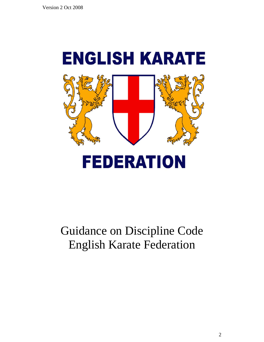

# Guidance on Discipline Code English Karate Federation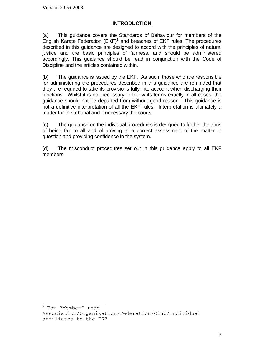$\overline{a}$ 

## **INTRODUCTION**

(a) This guidance covers the Standards of Behaviour for members of the English Karate Federation (EKF)<sup>1</sup> and breaches of EKF rules. The procedures described in this guidance are designed to accord with the principles of natural justice and the basic principles of fairness, and should be administered accordingly. This guidance should be read in conjunction with the Code of Discipline and the articles contained within.

(b) The guidance is issued by the EKF. As such, those who are responsible for administering the procedures described in this guidance are reminded that they are required to take its provisions fully into account when discharging their functions. Whilst it is not necessary to follow its terms exactly in all cases, the guidance should not be departed from without good reason. This guidance is not a definitive interpretation of all the EKF rules. Interpretation is ultimately a matter for the tribunal and if necessary the courts.

(c) The guidance on the individual procedures is designed to further the aims of being fair to all and of arriving at a correct assessment of the matter in question and providing confidence in the system.

(d) The misconduct procedures set out in this guidance apply to all EKF members

<sup>1</sup> For "Member" read Association/Organisation/Federation/Club/Individual affiliated to the EKF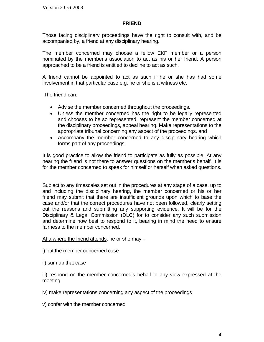## **FRIEND**

Those facing disciplinary proceedings have the right to consult with, and be accompanied by, a friend at any disciplinary hearing.

The member concerned may choose a fellow EKF member or a person nominated by the member's association to act as his or her friend. A person approached to be a friend is entitled to decline to act as such.

A friend cannot be appointed to act as such if he or she has had some involvement in that particular case e.g. he or she is a witness etc.

The friend can:

- Advise the member concerned throughout the proceedings.
- Unless the member concerned has the right to be legally represented and chooses to be so represented, represent the member concerned at the disciplinary proceedings, appeal hearing. Make representations to the appropriate tribunal concerning any aspect of the proceedings. and
- Accompany the member concerned to any disciplinary hearing which forms part of any proceedings.

It is good practice to allow the friend to participate as fully as possible. At any hearing the friend is not there to answer questions on the member's behalf. It is for the member concerned to speak for himself or herself when asked questions.

Subject to any timescales set out in the procedures at any stage of a case, up to and including the disciplinary hearing, the member concerned or his or her friend may submit that there are insufficient grounds upon which to base the case and/or that the correct procedures have not been followed, clearly setting out the reasons and submitting any supporting evidence. It will be for the Disciplinary & Legal Commission (DLC) for to consider any such submission and determine how best to respond to it, bearing in mind the need to ensure fairness to the member concerned.

At a where the friend attends, he or she may –

- i) put the member concerned case
- ii) sum up that case

iii) respond on the member concerned's behalf to any view expressed at the meeting

- iv) make representations concerning any aspect of the proceedings
- v) confer with the member concerned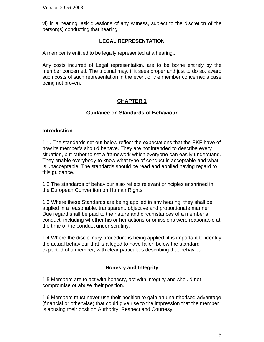vi) in a hearing, ask questions of any witness, subject to the discretion of the person(s) conducting that hearing.

## **LEGAL REPRESENTATION**

A member is entitled to be legally represented at a hearing...

Any costs incurred of Legal representation, are to be borne entirely by the member concerned. The tribunal may, if it sees proper and just to do so, award such costs of such representation in the event of the member concerned's case being not proven.

# **CHAPTER 1**

## **Guidance on Standards of Behaviour**

#### **Introduction**

1.1. The standards set out below reflect the expectations that the EKF have of how its member's should behave. They are not intended to describe every situation, but rather to set a framework which everyone can easily understand. They enable everybody to know what type of conduct is acceptable and what is unacceptable**.** The standards should be read and applied having regard to this guidance.

1.2 The standards of behaviour also reflect relevant principles enshrined in the European Convention on Human Rights.

1.3 Where these Standards are being applied in any hearing, they shall be applied in a reasonable, transparent, objective and proportionate manner. Due regard shall be paid to the nature and circumstances of a member's conduct, including whether his or her actions or omissions were reasonable at the time of the conduct under scrutiny.

1.4 Where the disciplinary procedure is being applied, it is important to identify the actual behaviour that is alleged to have fallen below the standard expected of a member, with clear particulars describing that behaviour.

## **Honesty and Integrity**

1.5 Members are to act with honesty, act with integrity and should not compromise or abuse their position.

1.6 Members must never use their position to gain an unauthorised advantage (financial or otherwise) that could give rise to the impression that the member is abusing their position Authority, Respect and Courtesy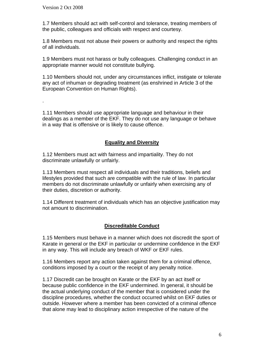.

1.7 Members should act with self-control and tolerance, treating members of the public, colleagues and officials with respect and courtesy.

1.8 Members must not abuse their powers or authority and respect the rights of all individuals.

1.9 Members must not harass or bully colleagues. Challenging conduct in an appropriate manner would not constitute bullying.

1.10 Members should not, under any circumstances inflict, instigate or tolerate any act of inhuman or degrading treatment (as enshrined in Article 3 of the European Convention on Human Rights).

1.11 Members should use appropriate language and behaviour in their dealings as a member of the EKF. They do not use any language or behave in a way that is offensive or is likely to cause offence.

## **Equality and Diversity**

1.12 Members must act with fairness and impartiality. They do not discriminate unlawfully or unfairly.

1.13 Members must respect all individuals and their traditions, beliefs and lifestyles provided that such are compatible with the rule of law. In particular members do not discriminate unlawfully or unfairly when exercising any of their duties, discretion or authority.

1.14 Different treatment of individuals which has an objective justification may not amount to discrimination.

## **Discreditable Conduct**

1.15 Members must behave in a manner which does not discredit the sport of Karate in general or the EKF in particular or undermine confidence in the EKF in any way. This will include any breach of WKF or EKF rules.

1.16 Members report any action taken against them for a criminal offence, conditions imposed by a court or the receipt of any penalty notice.

1.17 Discredit can be brought on Karate or the EKF by an act itself or because public confidence in the EKF undermined. In general, it should be the actual underlying conduct of the member that is considered under the discipline procedures, whether the conduct occurred whilst on EKF duties or outside. However where a member has been convicted of a criminal offence that alone may lead to disciplinary action irrespective of the nature of the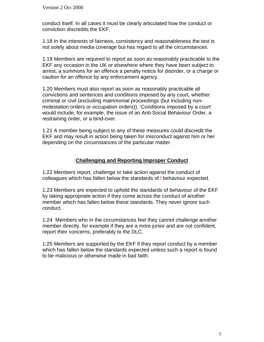conduct itself. In all cases it must be clearly articulated how the conduct or conviction discredits the EKF.

1.18 In the interests of fairness, consistency and reasonableness the test is not solely about media coverage but has regard to all the circumstances.

1.19 Members are required to report as soon as reasonably practicable to the EKF any occasion in the UK or elsewhere where they have been subject to arrest, a summons for an offence a penalty notice for disorder, or a charge or caution for an offence by any enforcement agency.

1.20 Members must also report as soon as reasonably practicable all convictions and sentences and conditions imposed by any court, whether criminal or civil (excluding matrimonial proceedings (but including nonmolestation orders or occupation orders)). 'Conditions imposed by a court' would include, for example, the issue of an Anti-Social Behaviour Order, a restraining order, or a bind-over.

1.21 A member being subject to any of these measures could discredit the EKF and may result in action being taken for misconduct against him or her depending on the circumstances of the particular matter.

#### **Challenging and Reporting Improper Conduct**

1.22 Members report, challenge or take action against the conduct of colleagues which has fallen below the standards of l behaviour expected.

1.23 Members are expected to uphold the standards of behaviour of the EKF by taking appropriate action if they come across the conduct of another member which has fallen below these standards. They never ignore such conduct.

1.24 Members who in the circumstances feel they cannot challenge another member directly, for example if they are a more junior and are not confident, report their concerns, preferably to the DLC.

1.25 Members are supported by the EKF if they report conduct by a member which has fallen below the standards expected unless such a report is found to be malicious or otherwise made in bad faith.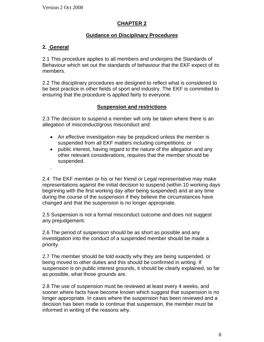# **CHAPTER 2**

## **Guidance on Disciplinary Procedures**

## **2. General**

.

2.1 This procedure applies to all members and underpins the Standards of Behaviour which set out the standards of behaviour that the EKF expect of its members.

2.2 The disciplinary procedures are designed to reflect what is considered to be best practice in other fields of sport and industry. The EKF is committed to ensuring that the procedure is applied fairly to everyone.

## **Suspension and restrictions**

2.3 The decision to suspend a member will only be taken where there is an allegation of misconduct/gross misconduct and:

- An effective investigation may be prejudiced unless the member is suspended from all EKF matters including competitions; or
- public interest, having regard to the nature of the allegation and any other relevant considerations, requires that the member should be suspended.

2.4 The EKF member or his or her friend or Legal representative may make representations against the initial decision to suspend (within 10 working days beginning with the first working day after being suspended) and at any time during the course of the suspension if they believe the circumstances have changed and that the suspension is no longer appropriate.

2.5 Suspension is not a formal misconduct outcome and does not suggest any prejudgement.

2.6 The period of suspension should be as short as possible and any investigation into the conduct of a suspended member should be made a priority.

2.7 The member should be told exactly why they are being suspended, or being moved to other duties and this should be confirmed in writing. If suspension is on public interest grounds, it should be clearly explained, so far as possible, what those grounds are.

2.8 The use of suspension must be reviewed at least every 4 weeks, and sooner where facts have become known which suggest that suspension is no longer appropriate. In cases where the suspension has been reviewed and a decision has been made to continue that suspension, the member must be informed in writing of the reasons why.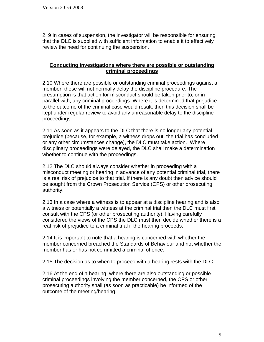2. 9 In cases of suspension, the investigator will be responsible for ensuring that the DLC is supplied with sufficient information to enable it to effectively review the need for continuing the suspension.

#### **Conducting investigations where there are possible or outstanding criminal proceedings**

2.10 Where there are possible or outstanding criminal proceedings against a member, these will not normally delay the discipline procedure. The presumption is that action for misconduct should be taken prior to, or in parallel with, any criminal proceedings. Where it is determined that prejudice to the outcome of the criminal case would result, then this decision shall be kept under regular review to avoid any unreasonable delay to the discipline proceedings.

2.11 As soon as it appears to the DLC that there is no longer any potential prejudice (because, for example, a witness drops out, the trial has concluded or any other circumstances change), the DLC must take action. Where disciplinary proceedings were delayed, the DLC shall make a determination whether to continue with the proceedings.

2.12 The DLC should always consider whether in proceeding with a misconduct meeting or hearing in advance of any potential criminal trial, there is a real risk of prejudice to that trial. If there is any doubt then advice should be sought from the Crown Prosecution Service (CPS) or other prosecuting authority.

2.13 In a case where a witness is to appear at a discipline hearing and is also a witness or potentially a witness at the criminal trial then the DLC must first consult with the CPS (or other prosecuting authority). Having carefully considered the views of the CPS the DLC must then decide whether there is a real risk of prejudice to a criminal trial if the hearing proceeds.

2.14 It is important to note that a hearing is concerned with whether the member concerned breached the Standards of Behaviour and not whether the member has or has not committed a criminal offence.

2.15 The decision as to when to proceed with a hearing rests with the DLC.

2.16 At the end of a hearing, where there are also outstanding or possible criminal proceedings involving the member concerned, the CPS or other prosecuting authority shall (as soon as practicable) be informed of the outcome of the meeting/hearing.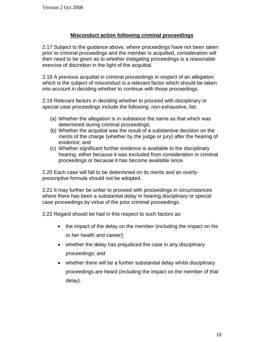## **Misconduct action following criminal proceedings**

2.17 Subject to the guidance above, where proceedings have not been taken prior to criminal proceedings and the member is acquitted, consideration will then need to be given as to whether instigating proceedings is a reasonable exercise of discretion in the light of the acquittal.

2.18 A previous acquittal in criminal proceedings in respect of an allegation which is the subject of misconduct is a relevant factor which should be taken into account in deciding whether to continue with those proceedings.

2.19 Relevant factors in deciding whether to proceed with disciplinary or special case proceedings include the following, non-exhaustive, list:

- (a) Whether the allegation is in substance the same as that which was determined during criminal proceedings;
- (b) Whether the acquittal was the result of a substantive decision on the merits of the charge (whether by the judge or jury) after the hearing of evidence; and
- (c) Whether significant further evidence is available to the disciplinary hearing, either because it was excluded from consideration in criminal proceedings or because it has become available since.

2.20 Each case will fall to be determined on its merits and an overlyprescriptive formula should not be adopted.

2.21 It may further be unfair to proceed with proceedings in circumstances where there has been a substantial delay in hearing disciplinary or special case proceedings by virtue of the prior criminal proceedings.

2.22 Regard should be had in this respect to such factors as:

- the impact of the delay on the member (including the impact on his or her health and career);
- whether the delay has prejudiced the case in any disciplinary proceedings; and
- whether there will be a further substantial delay whilst disciplinary proceedings are heard (including the impact on the member of that delay).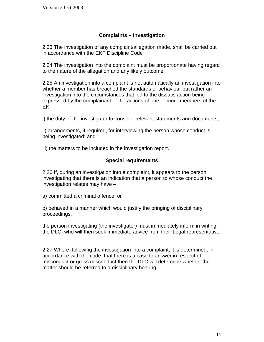# **Complaints – Investigation**

2.23 The investigation of any complaint/allegation made, shall be carried out in accordance with the EKF Discipline Code

2.24 The investigation into the complaint must be proportionate having regard to the nature of the allegation and any likely outcome.

2.25 An investigation into a complaint is not automatically an investigation into whether a member has breached the standards of behaviour but rather an investigation into the circumstances that led to the dissatisfaction being expressed by the complainant of the actions of one or more members of the EKF

i) the duty of the investigator to consider relevant statements and documents;

ii) arrangements, if required, for interviewing the person whose conduct is being investigated; and

iii) the matters to be included in the investigation report.

#### **Special requirements**

2.26 If, during an investigation into a complaint, it appears to the person investigating that there is an indication that a person to whose conduct the investigation relates may have –

a) committed a criminal offence, or

b) behaved in a manner which would justify the bringing of disciplinary proceedings,

the person investigating (the investigator) must immediately inform in writing the DLC, who will then seek immediate advice from their Legal representative.

2.27 Where, following the investigation into a complaint, it is determined, in accordance with the code, that there is a case to answer in respect of misconduct or gross misconduct then the DLC will determine whether the matter should be referred to a disciplinary hearing.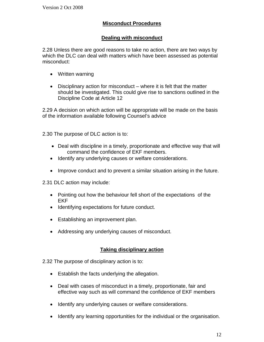## **Misconduct Procedures**

#### **Dealing with misconduct**

2.28 Unless there are good reasons to take no action, there are two ways by which the DLC can deal with matters which have been assessed as potential misconduct:

- Written warning
- Disciplinary action for misconduct where it is felt that the matter should be investigated. This could give rise to sanctions outlined in the Discipline Code at Article 12

2.29 A decision on which action will be appropriate will be made on the basis of the information available following Counsel's advice

2.30 The purpose of DLC action is to:

- Deal with discipline in a timely, proportionate and effective way that will command the confidence of EKF members.
- Identify any underlying causes or welfare considerations.
- Improve conduct and to prevent a similar situation arising in the future.

2.31 DLC action may include:

- Pointing out how the behaviour fell short of the expectations of the EKF
- Identifying expectations for future conduct.
- Establishing an improvement plan.
- Addressing any underlying causes of misconduct.

#### **Taking disciplinary action**

- 2.32 The purpose of disciplinary action is to:
	- Establish the facts underlying the allegation.
	- Deal with cases of misconduct in a timely, proportionate, fair and effective way such as will command the confidence of EKF members
	- Identify any underlying causes or welfare considerations.
	- Identify any learning opportunities for the individual or the organisation.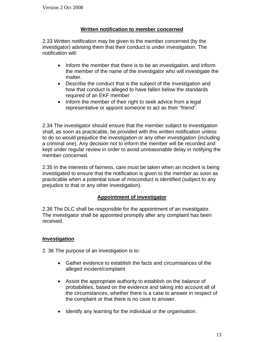## **Written notification to member concerned**

2.33 Written notification may be given to the member concerned (by the investigator) advising them that their conduct is under investigation. The notification will:

- Inform the member that there is to be an investigation, and inform the member of the name of the investigator who will investigate the matter.
- Describe the conduct that is the subject of the investigation and how that conduct is alleged to have fallen below the standards required of an EKF member
- Inform the member of their right to seek advice from a legal representative or appoint someone to act as their "friend".

2.34 The investigator should ensure that the member subject to investigation shall, as soon as practicable, be provided with this written notification unless to do so would prejudice the investigation or any other investigation (including a criminal one). Any decision not to inform the member will be recorded and kept under regular review in order to avoid unreasonable delay in notifying the member concerned.

2.35 In the interests of fairness, care must be taken when an incident is being investigated to ensure that the notification is given to the member as soon as practicable when a potential issue of misconduct is identified (subject to any prejudice to that or any other investigation).

## **Appointment of investigator**

2.36 The DLC shall be responsible for the appointment of an investigator. The investigator shall be appointed promptly after any complaint has been received.

## **Investigation**

2. 36 The purpose of an investigation is to:

- Gather evidence to establish the facts and circumstances of the alleged incident/complaint
- Assist the appropriate authority to establish on the balance of probabilities, based on the evidence and taking into account all of the circumstances, whether there is a case to answer in respect of the complaint or that there is no case to answer.
- Identify any learning for the individual or the organisation.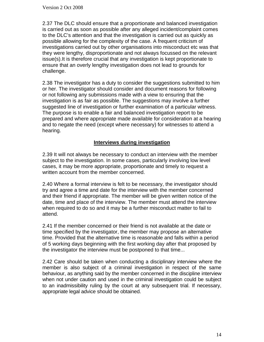2.37 The DLC should ensure that a proportionate and balanced investigation is carried out as soon as possible after any alleged incident/complaint comes to the DLC's attention and that the investigation is carried out as quickly as possible allowing for the complexity of the case. A frequent criticism of investigations carried out by other organisations into misconduct etc was that they were lengthy, disproportionate and not always focussed on the relevant issue(s).It is therefore crucial that any investigation is kept proportionate to ensure that an overly lengthy investigation does not lead to grounds for challenge.

2.38 The investigator has a duty to consider the suggestions submitted to him or her. The investigator should consider and document reasons for following or not following any submissions made with a view to ensuring that the investigation is as fair as possible. The suggestions may involve a further suggested line of investigation or further examination of a particular witness. The purpose is to enable a fair and balanced investigation report to be prepared and where appropriate made available for consideration at a hearing and to negate the need (except where necessary) for witnesses to attend a hearing.

#### **Interviews during investigation**

2.39 It will not always be necessary to conduct an interview with the member subject to the investigation. In some cases, particularly involving low level cases, it may be more appropriate, proportionate and timely to request a written account from the member concerned.

2.40 Where a formal interview is felt to be necessary, the investigator should try and agree a time and date for the interview with the member concerned and their friend if appropriate. The member will be given written notice of the date, time and place of the interview. The member must attend the interview when required to do so and it may be a further misconduct matter to fail to attend.

2.41 If the member concerned or their friend is not available at the date or time specified by the investigator, the member may propose an alternative time. Provided that the alternative time is reasonable and falls within a period of 5 working days beginning with the first working day after that proposed by the investigator the interview must be postponed to that time...

2.42 Care should be taken when conducting a disciplinary interview where the member is also subject of a criminal investigation in respect of the same behaviour, as anything said by the member concerned in the discipline interview when not under caution and used in the criminal investigation could be subject to an inadmissibility ruling by the court at any subsequent trial. If necessary, appropriate legal advice should be obtained.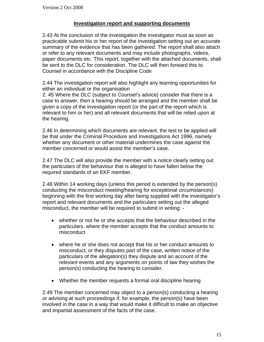#### **Investigation report and supporting documents**

2.43 At the conclusion of the investigation the investigator must as soon as practicable submit his or her report of the investigation setting out an accurate summary of the evidence that has been gathered. The report shall also attach or refer to any relevant documents and may include photographs, videos, paper documents etc. This report, together with the attached documents, shall be sent to the DLC for consideration. The DLC will then forward this to Counsel in accordance with the Discipline Code

2.44 The investigation report will also highlight any learning opportunities for either an individual or the organisation

2. 45 Where the DLC (subject to Counsel's advice) consider that there is a case to answer, then a hearing should be arranged and the member shall be given a copy of the investigation report (or the part of the report which is relevant to him or her) and all relevant documents that will be relied upon at the hearing.

2.46 In determining which documents are relevant, the test to be applied will be that under the Criminal Procedure and Investigations Act 1996, namely whether any document or other material undermines the case against the member concerned or would assist the member's case.

2.47 The DLC will also provide the member with a notice clearly setting out the particulars of the behaviour that is alleged to have fallen below the required standards of an EKF member.

2.48 Within 14 working days (unless this period is extended by the person(s) conducting the misconduct meeting/hearing for exceptional circumstances) beginning with the first working day after being supplied with the investigator's report and relevant documents and the particulars setting out the alleged misconduct, the member will be required to submit in writing: -

- whether or not he or she accepts that the behaviour described in the particulars. where the member accepts that the conduct amounts to misconduct
- where he or she does not accept that his or her conduct amounts to misconduct, or they disputes part of the case, written notice of the particulars of the allegation(s) they dispute and an account of the relevant events and any arguments on points of law they wishes the person(s) conducting the hearing to consider.
- Whether the member requests a formal oral discipline hearing

2.49 The member concerned may object to a person(s) conducting a hearing or advising at such proceedings if, for example, the person(s) have been involved in the case in a way that would make it difficult to make an objective and impartial assessment of the facts of the case.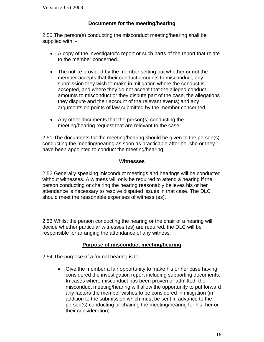#### **Documents for the meeting/hearing**

2.50 The person(s) conducting the misconduct meeting/hearing shall be supplied with: -

- A copy of the investigator's report or such parts of the report that relate to the member concerned.
- The notice provided by the member setting out whether or not the member accepts that their conduct amounts to misconduct, any submission they wish to make in mitigation where the conduct is accepted, and where they do not accept that the alleged conduct amounts to misconduct or they dispute part of the case, the allegations they dispute and their account of the relevant events; and any arguments on points of law submitted by the member concerned.
- Any other documents that the person(s) conducting the meeting/hearing request that are relevant to the case

2.51 The documents for the meeting/hearing should be given to the person(s) conducting the meeting/hearing as soon as practicable after he, she or they have been appointed to conduct the meeting/hearing.

#### **Witnesses**

2.52 Generally speaking misconduct meetings and hearings will be conducted without witnesses. A witness will only be required to attend a hearing if the person conducting or chairing the hearing reasonably believes his or her attendance is necessary to resolve disputed issues in that case. The DLC should meet the reasonable expenses of witness (es).

2.53 Whilst the person conducting the hearing or the chair of a hearing will decide whether particular witnesses (es) are required, the DLC will be responsible for arranging the attendance of any witness.

#### **Purpose of misconduct meeting/hearing**

2.54 The purpose of a formal hearing is to:

• Give the member a fair opportunity to make his or her case having considered the investigation report including supporting documents. In cases where misconduct has been proven or admitted, the misconduct meeting/hearing will allow the opportunity to put forward any factors the member wishes to be considered in mitigation (in addition to the submission which must be sent in advance to the person(s) conducting or chairing the meeting/hearing for his, her or their consideration).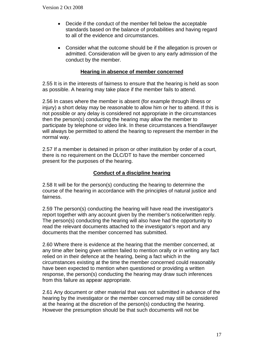- Decide if the conduct of the member fell below the acceptable standards based on the balance of probabilities and having regard to all of the evidence and circumstances.
- Consider what the outcome should be if the allegation is proven or admitted. Consideration will be given to any early admission of the conduct by the member.

#### **Hearing in absence of member concerned**

2.55 It is in the interests of fairness to ensure that the hearing is held as soon as possible. A hearing may take place if the member fails to attend.

2.56 In cases where the member is absent (for example through illness or injury) a short delay may be reasonable to allow him or her to attend. If this is not possible or any delay is considered not appropriate in the circumstances then the person(s) conducting the hearing may allow the member to participate by telephone or video link. In these circumstances a friend/lawyer will always be permitted to attend the hearing to represent the member in the normal way.

2.57 If a member is detained in prison or other institution by order of a court, there is no requirement on the DLC/DT to have the member concerned present for the purposes of the hearing.

## **Conduct of a discipline hearing**

2.58 It will be for the person(s) conducting the hearing to determine the course of the hearing in accordance with the principles of natural justice and fairness.

2.59 The person(s) conducting the hearing will have read the investigator's report together with any account given by the member's notice/written reply. The person(s) conducting the hearing will also have had the opportunity to read the relevant documents attached to the investigator's report and any documents that the member concerned has submitted.

2.60 Where there is evidence at the hearing that the member concerned, at any time after being given written failed to mention orally or in writing any fact relied on in their defence at the hearing, being a fact which in the circumstances existing at the time the member concerned could reasonably have been expected to mention when questioned or providing a written response, the person(s) conducting the hearing may draw such inferences from this failure as appear appropriate.

2.61 Any document or other material that was not submitted in advance of the hearing by the investigator or the member concerned may still be considered at the hearing at the discretion of the person(s) conducting the hearing. However the presumption should be that such documents will not be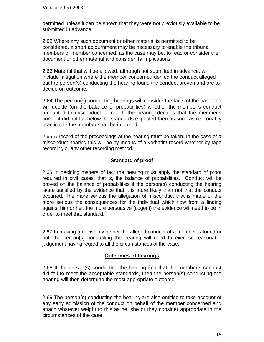permitted unless it can be shown that they were not previously available to be submitted in advance.

2.62 Where any such document or other material is permitted to be considered, a short adjournment may be necessary to enable the tribunal members or member concerned, as the case may be, to read or consider the document or other material and consider its implications.

2.63 Material that will be allowed, although not submitted in advance, will include mitigation where the member concerned denied the conduct alleged but the person(s) conducting the hearing found the conduct proven and are to decide on outcome.

2.64 The person(s) conducting hearings will consider the facts of the case and will decide (on the balance of probabilities) whether the member's conduct amounted to misconduct or not. If the hearing decides that the member's conduct did not fall below the standards expected then as soon as reasonably practicable the member shall be informed.

2.65 A record of the proceedings at the hearing must be taken. In the case of a misconduct hearing this will be by means of a verbatim record whether by tape recording or any other recording method.

#### **Standard of proof**

2.66 In deciding matters of fact the hearing must apply the standard of proof required in civil cases, that is, the balance of probabilities. Conduct will be proved on the balance of probabilities if the person(s) conducting the hearing is/are satisfied by the evidence that it is more likely than not that the conduct occurred. The more serious the allegation of misconduct that is made or the more serious the consequences for the individual which flow from a finding against him or her, the more persuasive (cogent) the evidence will need to be in order to meet that standard.

2.67 In making a decision whether the alleged conduct of a member is found or not, the person(s) conducting the hearing will need to exercise reasonable judgement having regard to all the circumstances of the case.

#### **Outcomes of hearings**

2.68 If the person(s) conducting the hearing find that the member's conduct did fail to meet the acceptable standards, then the person(s) conducting the hearing will then determine the most appropriate outcome.

2.69 The person(s) conducting the hearing are also entitled to take account of any early admission of the conduct on behalf of the member concerned and attach whatever weight to this as he, she or they consider appropriate in the circumstances of the case.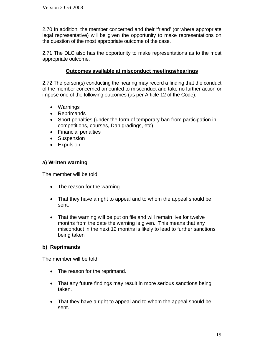2.70 In addition, the member concerned and their 'friend' (or where appropriate legal representative) will be given the opportunity to make representations on the question of the most appropriate outcome of the case.

2.71 The DLC also has the opportunity to make representations as to the most appropriate outcome.

## **Outcomes available at misconduct meetings/hearings**

2.72 The person(s) conducting the hearing may record a finding that the conduct of the member concerned amounted to misconduct and take no further action or impose one of the following outcomes (as per Article 12 of the Code):

- Warnings
- Reprimands
- Sport penalties (under the form of temporary ban from participation in competitions, courses, Dan gradings, etc)
- Financial penalties
- Suspension
- Expulsion

# **a) Written warning**

The member will be told:

- The reason for the warning.
- That they have a right to appeal and to whom the appeal should be sent.
- That the warning will be put on file and will remain live for twelve months from the date the warning is given. This means that any misconduct in the next 12 months is likely to lead to further sanctions being taken

## **b) Reprimands**

The member will be told:

- The reason for the reprimand.
- That any future findings may result in more serious sanctions being taken.
- That they have a right to appeal and to whom the appeal should be sent.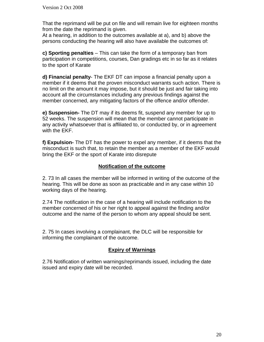That the reprimand will be put on file and will remain live for eighteen months from the date the reprimand is given.

At a hearing, in addition to the outcomes available at a), and b) above the persons conducting the hearing will also have available the outcomes of:

**c) Sporting penalties** – This can take the form of a temporary ban from participation in competitions, courses, Dan gradings etc in so far as it relates to the sport of Karate

**d) Financial penalty**- The EKF DT can impose a financial penalty upon a member if it deems that the proven misconduct warrants such action. There is no limit on the amount it may impose, but it should be just and fair taking into account all the circumstances including any previous findings against the member concerned, any mitigating factors of the offence and/or offender.

**e) Suspension-** The DT may if its deems fit, suspend any member for up to 52 weeks. The suspension will mean that the member cannot participate in any activity whatsoever that is affiliated to, or conducted by, or in agreement with the EKF.

**f) Expulsion-** The DT has the power to expel any member, if it deems that the misconduct is such that, to retain the member as a member of the EKF would bring the EKF or the sport of Karate into disrepute

#### **Notification of the outcome**

2. 73 In all cases the member will be informed in writing of the outcome of the hearing. This will be done as soon as practicable and in any case within 10 working days of the hearing.

2.74 The notification in the case of a hearing will include notification to the member concerned of his or her right to appeal against the finding and/or outcome and the name of the person to whom any appeal should be sent.

2. 75 In cases involving a complainant, the DLC will be responsible for informing the complainant of the outcome.

#### **Expiry of Warnings**

2.76 Notification of written warnings/reprimands issued, including the date issued and expiry date will be recorded.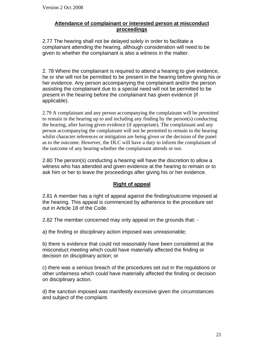#### **Attendance of complainant or interested person at misconduct proceedings**

2.77 The hearing shall not be delayed solely in order to facilitate a complainant attending the hearing, although consideration will need to be given to whether the complainant is also a witness in the matter.

2. 78 Where the complainant is required to attend a hearing to give evidence, he or she will not be permitted to be present in the hearing before giving his or her evidence. Any person accompanying the complainant and/or the person assisting the complainant due to a special need will not be permitted to be present in the hearing before the complainant has given evidence (if applicable).

2.79 A complainant and any person accompanying the complainant will be permitted to remain in the hearing up to and including any finding by the person(s) conducting the hearing, after having given evidence (if appropriate). The complainant and any person accompanying the complainant will not be permitted to remain in the hearing whilst character references or mitigation are being given or the decision of the panel as to the outcome. However, the DLC will have a duty to inform the complainant of the outcome of any hearing whether the complainant attends or not.

2.80 The person(s) conducting a hearing will have the discretion to allow a witness who has attended and given evidence at the hearing to remain or to ask him or her to leave the proceedings after giving his or her evidence.

## **Right of appeal**

2.81 A member has a right of appeal against the finding/outcome imposed at the hearing. This appeal is commenced by adherence to the procedure set out in Article 18 of the Code.

2.82 The member concerned may only appeal on the grounds that: -

a) the finding or disciplinary action imposed was unreasonable;

b) there is evidence that could not reasonably have been considered at the misconduct meeting which could have materially affected the finding or decision on disciplinary action; or

c) there was a serious breach of the procedures set out in the regulations or other unfairness which could have materially affected the finding or decision on disciplinary action.

d) the sanction imposed was manifestly excessive given the circumstances and subject of the complaint.